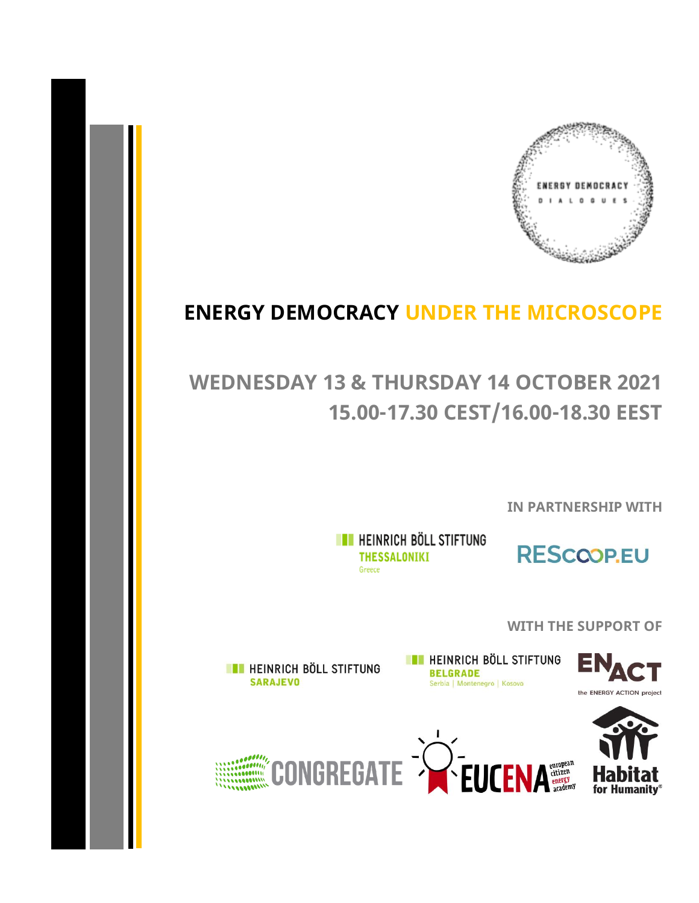

## **ENERGY DEMOCRACY UNDER THE MICROSCOPE**

## **WEDNESDAY 13 & THURSDAY 14 OCTOBER 2021 15.00-17.30 CEST/16.00-18.30 EEST**

**IN PARTNERSHIP WITH**

**THE HEINRICH BÖLL STIFTUNG THESSALONIKI** Greece



**WITH THE SUPPORT OF**

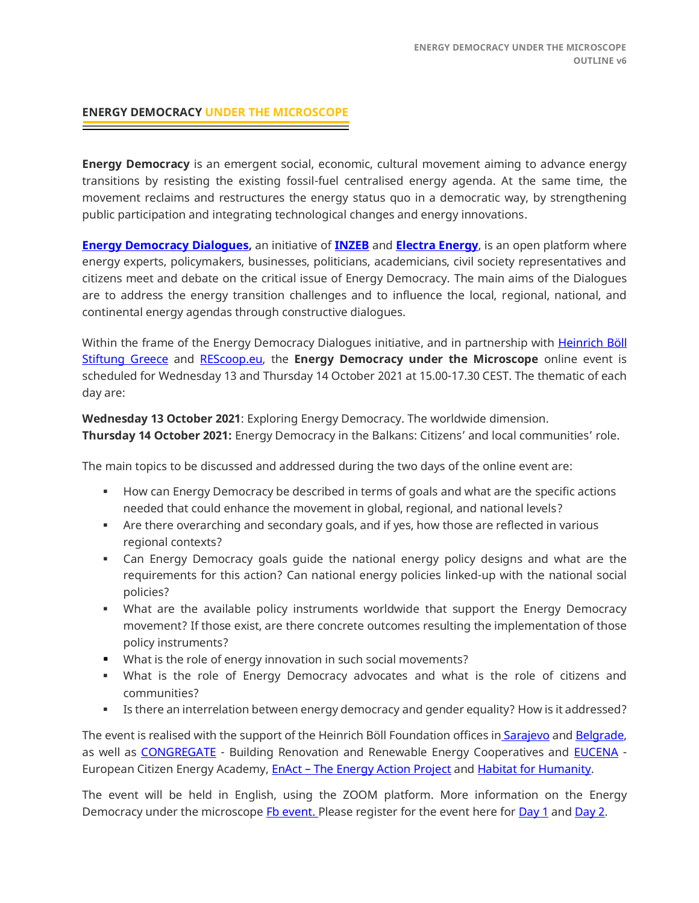## **ENERGY DEMOCRACY UNDER THE MICROSCOPE**

**Energy Democracy** is an emergent social, economic, cultural movement aiming to advance energy transitions by resisting the existing fossil-fuel centralised energy agenda. At the same time, the movement reclaims and restructures the energy status quo in a democratic way, by strengthening public participation and integrating technological changes and energy innovations.

**[Energy Democracy](https://www.energy-democracy-dialogues.org/) Dialogues,** an initiative of **[INZEB](https://inzeb.org/)** and **[Electra Energy](http://electraenergy.coop/)**, is an open platform where energy experts, policymakers, businesses, politicians, academicians, civil society representatives and citizens meet and debate on the critical issue of Energy Democracy. The main aims of the Dialogues are to address the energy transition challenges and to influence the local, regional, national, and continental energy agendas through constructive dialogues.

Within the frame of the Energy Democracy Dialogues initiative, and in partnership with Heinrich Böll [Stiftung](https://gr.boell.org/en/homepage) Greece and [REScoop.eu,](https://www.rescoop.eu/) the **Energy Democracy under the Microscope** online event is scheduled for Wednesday 13 and Thursday 14 October 2021 at 15.00-17.30 CEST. The thematic of each day are:

**Wednesday 13 October 2021**: Exploring Energy Democracy. The worldwide dimension. **Thursday 14 October 2021:** Energy Democracy in the Balkans: Citizens' and local communities' role.

The main topics to be discussed and addressed during the two days of the online event are:

- **EXECT** How can Energy Democracy be described in terms of goals and what are the specific actions needed that could enhance the movement in global, regional, and national levels?
- **EXECT** Are there overarching and secondary goals, and if yes, how those are reflected in various regional contexts?
- **•** Can Energy Democracy goals guide the national energy policy designs and what are the requirements for this action? Can national energy policies linked-up with the national social policies?
- **•** What are the available policy instruments worldwide that support the Energy Democracy movement? If those exist, are there concrete outcomes resulting the implementation of those policy instruments?
- What is the role of energy innovation in such social movements?
- What is the role of Energy Democracy advocates and what is the role of citizens and communities?
- Is there an interrelation between energy democracy and gender equality? How is it addressed?

The event is realised with the support of the Heinrich Böll Foundation offices in [Sarajevo](https://ba.boell.org/) and [Belgrade,](https://rs.boell.org/sr) as well as **CONGREGATE** - Building Renovation and Renewable Energy Cooperatives and **EUCENA** -European Citizen Energy Academy, EnAct – [The Energy Action Project](http://www.coldathome.today/) and [Habitat for Humanity.](https://www.habitat.org/)

The event will be held in English, using the ZOOM platform. More information on the Energy Democracy under the microscope [Fb event.](https://fb.me/e/4CLRFf6Ca) Please register for the event here for [Day 1](https://us06web.zoom.us/webinar/register/WN_Cw239F03S-KYlRh4FnHGow) an[d Day 2.](https://us06web.zoom.us/webinar/register/WN_Y6-35DJHQD65C-xmI7tjiQ)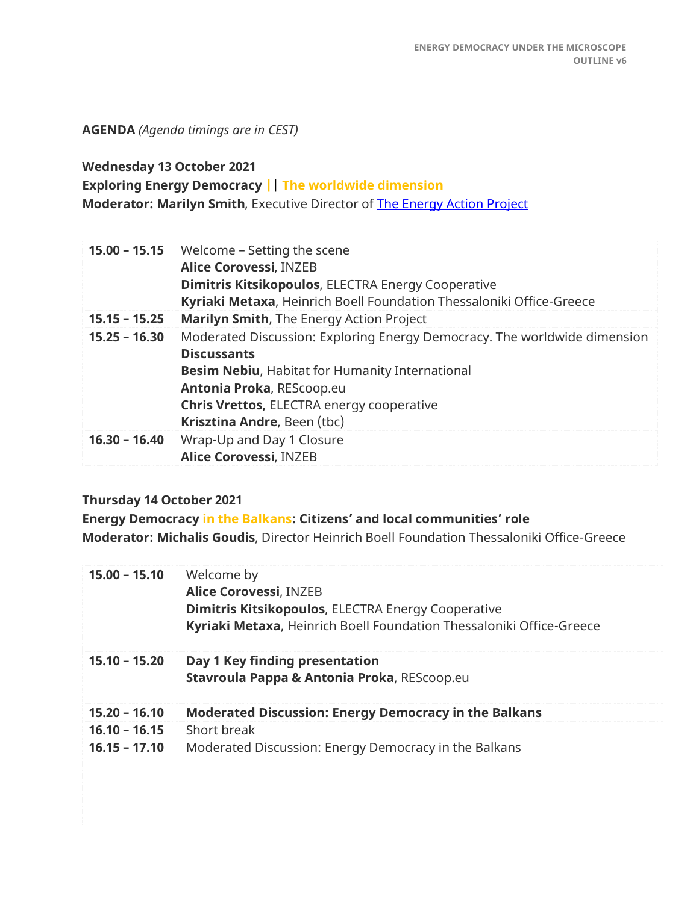**AGENDA** *(Agenda timings are in CEST)*

**Wednesday 13 October 2021**

**Exploring Energy Democracy || The worldwide dimension**

**Moderator: Marilyn Smith**, Executive Director of [The Energy Action Project](http://en-act.org/)

| $15.00 - 15.15$ | Welcome - Setting the scene<br><b>Alice Corovessi, INZEB</b><br><b>Dimitris Kitsikopoulos, ELECTRA Energy Cooperative</b><br>Kyriaki Metaxa, Heinrich Boell Foundation Thessaloniki Office-Greece                                                                         |
|-----------------|---------------------------------------------------------------------------------------------------------------------------------------------------------------------------------------------------------------------------------------------------------------------------|
| $15.15 - 15.25$ | Marilyn Smith, The Energy Action Project                                                                                                                                                                                                                                  |
| $15.25 - 16.30$ | Moderated Discussion: Exploring Energy Democracy. The worldwide dimension<br><b>Discussants</b><br><b>Besim Nebiu, Habitat for Humanity International</b><br>Antonia Proka, REScoop.eu<br><b>Chris Vrettos, ELECTRA energy cooperative</b><br>Krisztina Andre, Been (tbc) |
| $16.30 - 16.40$ | Wrap-Up and Day 1 Closure<br><b>Alice Corovessi, INZEB</b>                                                                                                                                                                                                                |

## **Thursday 14 October 2021**

**Energy Democracy in the Balkans: Citizens' and local communities' role Moderator: Michalis Goudis**, Director Heinrich Boell Foundation Thessaloniki Office-Greece

| $15.00 - 15.10$ | Welcome by<br><b>Alice Corovessi, INZEB</b><br><b>Dimitris Kitsikopoulos, ELECTRA Energy Cooperative</b><br>Kyriaki Metaxa, Heinrich Boell Foundation Thessaloniki Office-Greece |
|-----------------|----------------------------------------------------------------------------------------------------------------------------------------------------------------------------------|
| $15.10 - 15.20$ | Day 1 Key finding presentation<br>Stavroula Pappa & Antonia Proka, REScoop.eu                                                                                                    |
| $15.20 - 16.10$ | <b>Moderated Discussion: Energy Democracy in the Balkans</b>                                                                                                                     |
| $16.10 - 16.15$ | Short break                                                                                                                                                                      |
| $16.15 - 17.10$ | Moderated Discussion: Energy Democracy in the Balkans                                                                                                                            |